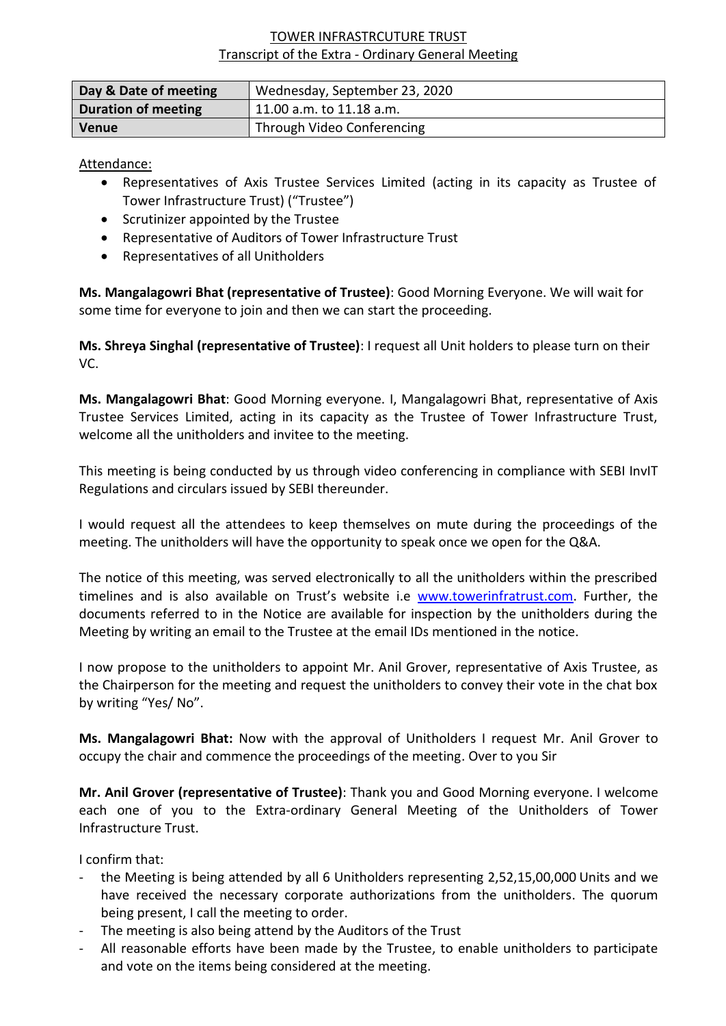## TOWER INFRASTRCUTURE TRUST Transcript of the Extra - Ordinary General Meeting

| Day & Date of meeting      | Wednesday, September 23, 2020 |
|----------------------------|-------------------------------|
| <b>Duration of meeting</b> | 11.00 a.m. to 11.18 a.m.      |
| <b>Venue</b>               | Through Video Conferencing    |

Attendance:

- Representatives of Axis Trustee Services Limited (acting in its capacity as Trustee of Tower Infrastructure Trust) ("Trustee")
- Scrutinizer appointed by the Trustee
- Representative of Auditors of Tower Infrastructure Trust
- Representatives of all Unitholders

**Ms. Mangalagowri Bhat (representative of Trustee)**: Good Morning Everyone. We will wait for some time for everyone to join and then we can start the proceeding.

**Ms. Shreya Singhal (representative of Trustee)**: I request all Unit holders to please turn on their VC.

**Ms. Mangalagowri Bhat**: Good Morning everyone. I, Mangalagowri Bhat, representative of Axis Trustee Services Limited, acting in its capacity as the Trustee of Tower Infrastructure Trust, welcome all the unitholders and invitee to the meeting.

This meeting is being conducted by us through video conferencing in compliance with SEBI InvIT Regulations and circulars issued by SEBI thereunder.

I would request all the attendees to keep themselves on mute during the proceedings of the meeting. The unitholders will have the opportunity to speak once we open for the Q&A.

The notice of this meeting, was served electronically to all the unitholders within the prescribed timelines and is also available on Trust's website i.e [www.towerinfratrust.com.](http://www.towerinfratrust.com/) Further, the documents referred to in the Notice are available for inspection by the unitholders during the Meeting by writing an email to the Trustee at the email IDs mentioned in the notice.

I now propose to the unitholders to appoint Mr. Anil Grover, representative of Axis Trustee, as the Chairperson for the meeting and request the unitholders to convey their vote in the chat box by writing "Yes/ No".

**Ms. Mangalagowri Bhat:** Now with the approval of Unitholders I request Mr. Anil Grover to occupy the chair and commence the proceedings of the meeting. Over to you Sir

**Mr. Anil Grover (representative of Trustee)**: Thank you and Good Morning everyone. I welcome each one of you to the Extra-ordinary General Meeting of the Unitholders of Tower Infrastructure Trust.

I confirm that:

- the Meeting is being attended by all 6 Unitholders representing 2,52,15,00,000 Units and we have received the necessary corporate authorizations from the unitholders. The quorum being present, I call the meeting to order.
- The meeting is also being attend by the Auditors of the Trust
- All reasonable efforts have been made by the Trustee, to enable unitholders to participate and vote on the items being considered at the meeting.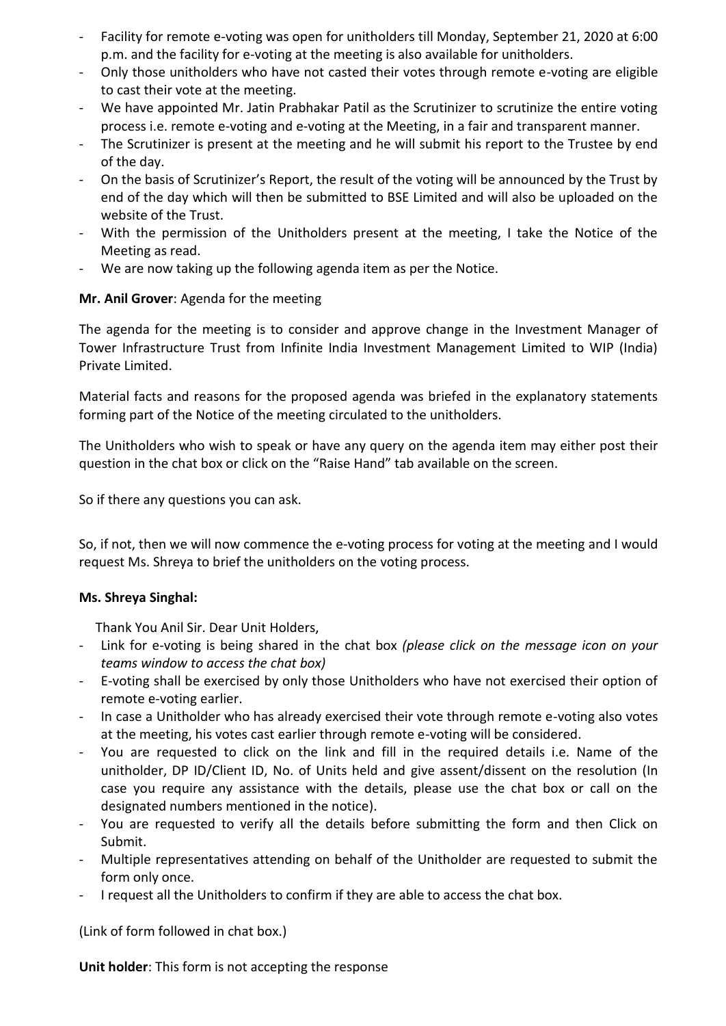- Facility for remote e-voting was open for unitholders till Monday, September 21, 2020 at 6:00 p.m. and the facility for e-voting at the meeting is also available for unitholders.
- Only those unitholders who have not casted their votes through remote e-voting are eligible to cast their vote at the meeting.
- We have appointed Mr. Jatin Prabhakar Patil as the Scrutinizer to scrutinize the entire voting process i.e. remote e-voting and e-voting at the Meeting, in a fair and transparent manner.
- The Scrutinizer is present at the meeting and he will submit his report to the Trustee by end of the day.
- On the basis of Scrutinizer's Report, the result of the voting will be announced by the Trust by end of the day which will then be submitted to BSE Limited and will also be uploaded on the website of the Trust.
- With the permission of the Unitholders present at the meeting, I take the Notice of the Meeting as read.
- We are now taking up the following agenda item as per the Notice.

## **Mr. Anil Grover**: Agenda for the meeting

The agenda for the meeting is to consider and approve change in the Investment Manager of Tower Infrastructure Trust from Infinite India Investment Management Limited to WIP (India) Private Limited.

Material facts and reasons for the proposed agenda was briefed in the explanatory statements forming part of the Notice of the meeting circulated to the unitholders.

The Unitholders who wish to speak or have any query on the agenda item may either post their question in the chat box or click on the "Raise Hand" tab available on the screen.

So if there any questions you can ask.

So, if not, then we will now commence the e-voting process for voting at the meeting and I would request Ms. Shreya to brief the unitholders on the voting process.

## **Ms. Shreya Singhal:**

Thank You Anil Sir. Dear Unit Holders,

- Link for e-voting is being shared in the chat box *(please click on the message icon on your teams window to access the chat box)*
- E-voting shall be exercised by only those Unitholders who have not exercised their option of remote e-voting earlier.
- In case a Unitholder who has already exercised their vote through remote e-voting also votes at the meeting, his votes cast earlier through remote e-voting will be considered.
- You are requested to click on the link and fill in the required details i.e. Name of the unitholder, DP ID/Client ID, No. of Units held and give assent/dissent on the resolution (In case you require any assistance with the details, please use the chat box or call on the designated numbers mentioned in the notice).
- You are requested to verify all the details before submitting the form and then Click on Submit.
- Multiple representatives attending on behalf of the Unitholder are requested to submit the form only once.
- I request all the Unitholders to confirm if they are able to access the chat box.

(Link of form followed in chat box.)

**Unit holder**: This form is not accepting the response